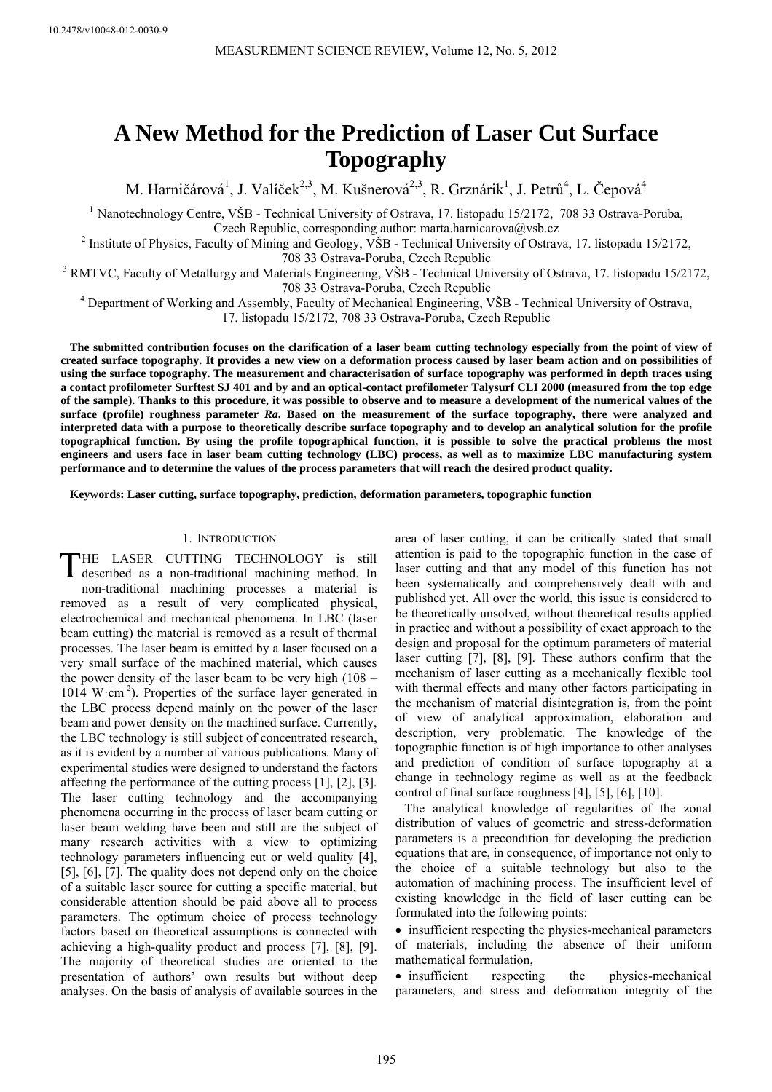10.2478/v10048-012-0030-9

# **A New Method for the Prediction of Laser Cut Surface Topography**

M. Harničárová<sup>1</sup>, J. Valíček<sup>2,3</sup>, M. Kušnerová<sup>2,3</sup>, R. Grznárik<sup>1</sup>, J. Petrů<sup>4</sup>, L. Čepová<sup>4</sup>

<sup>1</sup> Nanotechnology Centre, VŠB - Technical University of Ostrava, 17. listopadu 15/2172, 708 33 Ostrava-Poruba, Czech Republic, corresponding author: marta.harnicarova@vsb.cz

<sup>2</sup> Institute of Physics, Faculty of Mining and Geology, VŠB - Technical University of Ostrava, 17. listopadu 15/2172,

708 33 Ostrava-Poruba, Czech Republic<br><sup>3</sup> RMTVC, Faculty of Metallurgy and Materials Engineering, VŠB - Technical University of Ostrava, 17. listopadu 15/2172,

708 33 Ostrava-Poruba, Czech Republic 4 Department of Working and Assembly, Faculty of Mechanical Engineering, VŠB - Technical University of Ostrava,

17. listopadu 15/2172, 708 33 Ostrava-Poruba, Czech Republic

**The submitted contribution focuses on the clarification of a laser beam cutting technology especially from the point of view of created surface topography. It provides a new view on a deformation process caused by laser beam action and on possibilities of using the surface topography. The measurement and characterisation of surface topography was performed in depth traces using a contact profilometer Surftest SJ 401 and by and an optical-contact profilometer Talysurf CLI 2000 (measured from the top edge of the sample). Thanks to this procedure, it was possible to observe and to measure a development of the numerical values of the surface (profile) roughness parameter** *Ra***. Based on the measurement of the surface topography, there were analyzed and interpreted data with a purpose to theoretically describe surface topography and to develop an analytical solution for the profile topographical function. By using the profile topographical function, it is possible to solve the practical problems the most engineers and users face in laser beam cutting technology (LBC) process, as well as to maximize LBC manufacturing system performance and to determine the values of the process parameters that will reach the desired product quality.**

**Keywords: Laser cutting, surface topography, prediction, deformation parameters, topographic function** 

### 1. INTRODUCTION

THE LASER CUTTING TECHNOLOGY is still described as a non-traditional machining method. In described as a non-traditional machining method. In non-traditional machining processes a material is removed as a result of very complicated physical, electrochemical and mechanical phenomena. In LBC (laser beam cutting) the material is removed as a result of thermal processes. The laser beam is emitted by a laser focused on a very small surface of the machined material, which causes the power density of the laser beam to be very high (108 – 1014 W $\cdot$ cm<sup>-2</sup>). Properties of the surface layer generated in the LBC process depend mainly on the power of the laser beam and power density on the machined surface. Currently, the LBC technology is still subject of concentrated research, as it is evident by a number of various publications. Many of experimental studies were designed to understand the factors affecting the performance of the cutting process [1], [2], [3]. The laser cutting technology and the accompanying phenomena occurring in the process of laser beam cutting or laser beam welding have been and still are the subject of many research activities with a view to optimizing technology parameters influencing cut or weld quality [4], [5], [6], [7]. The quality does not depend only on the choice of a suitable laser source for cutting a specific material, but considerable attention should be paid above all to process parameters. The optimum choice of process technology factors based on theoretical assumptions is connected with achieving a high-quality product and process [7], [8], [9]. The majority of theoretical studies are oriented to the presentation of authors' own results but without deep analyses. On the basis of analysis of available sources in the

area of laser cutting, it can be critically stated that small attention is paid to the topographic function in the case of laser cutting and that any model of this function has not been systematically and comprehensively dealt with and published yet. All over the world, this issue is considered to be theoretically unsolved, without theoretical results applied in practice and without a possibility of exact approach to the design and proposal for the optimum parameters of material laser cutting [7], [8], [9]. These authors confirm that the mechanism of laser cutting as a mechanically flexible tool with thermal effects and many other factors participating in the mechanism of material disintegration is, from the point of view of analytical approximation, elaboration and description, very problematic. The knowledge of the topographic function is of high importance to other analyses and prediction of condition of surface topography at a change in technology regime as well as at the feedback control of final surface roughness [4], [5], [6], [10].

The analytical knowledge of regularities of the zonal distribution of values of geometric and stress-deformation parameters is a precondition for developing the prediction equations that are, in consequence, of importance not only to the choice of a suitable technology but also to the automation of machining process. The insufficient level of existing knowledge in the field of laser cutting can be formulated into the following points:

• insufficient respecting the physics-mechanical parameters of materials, including the absence of their uniform mathematical formulation,

• insufficient respecting the physics-mechanical parameters, and stress and deformation integrity of the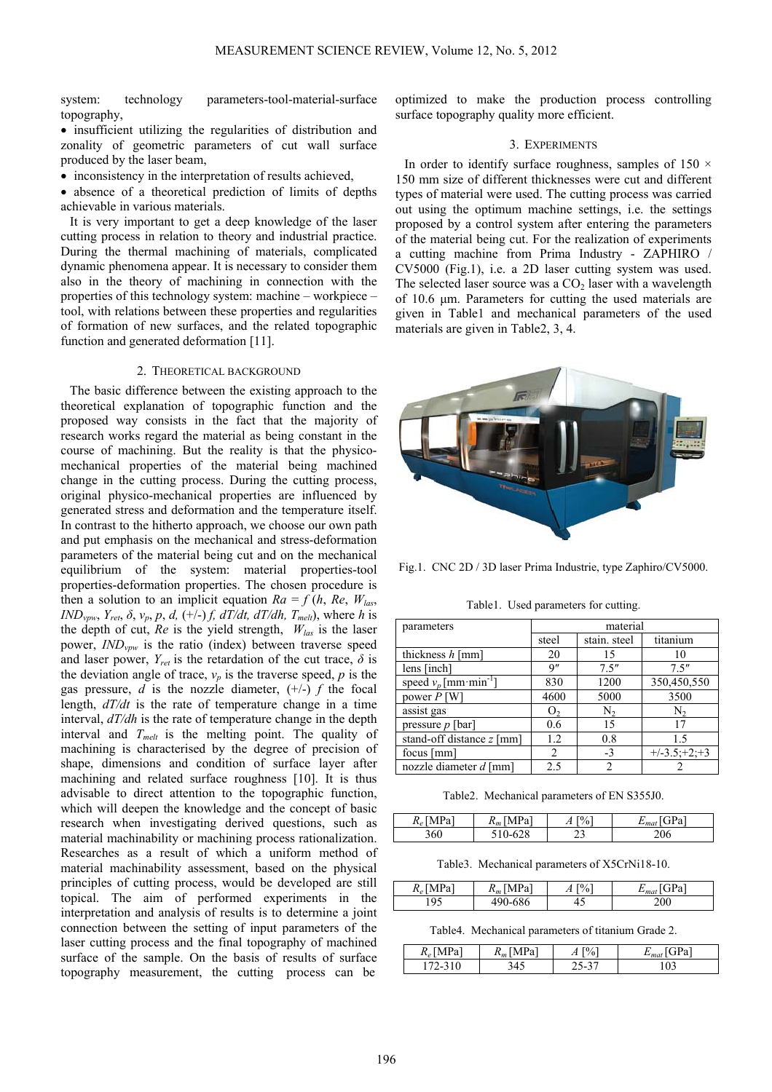system: technology parameters-tool-material-surface topography,

• insufficient utilizing the regularities of distribution and zonality of geometric parameters of cut wall surface produced by the laser beam,

• inconsistency in the interpretation of results achieved,

• absence of a theoretical prediction of limits of depths achievable in various materials.

It is very important to get a deep knowledge of the laser cutting process in relation to theory and industrial practice. During the thermal machining of materials, complicated dynamic phenomena appear. It is necessary to consider them also in the theory of machining in connection with the properties of this technology system: machine – workpiece – tool, with relations between these properties and regularities of formation of new surfaces, and the related topographic function and generated deformation [11].

## 2. THEORETICAL BACKGROUND

The basic difference between the existing approach to the theoretical explanation of topographic function and the proposed way consists in the fact that the majority of research works regard the material as being constant in the course of machining. But the reality is that the physicomechanical properties of the material being machined change in the cutting process. During the cutting process, original physico-mechanical properties are influenced by generated stress and deformation and the temperature itself. In contrast to the hitherto approach, we choose our own path and put emphasis on the mechanical and stress-deformation parameters of the material being cut and on the mechanical equilibrium of the system: material properties-tool properties-deformation properties. The chosen procedure is then a solution to an implicit equation  $Ra = f(h, Re, W_{las})$ *IND<sub>vpw</sub>*,  $Y_{ret}$ ,  $\delta$ ,  $v_p$ ,  $p$ ,  $d$ ,  $(+/-)$   $f$ ,  $dT/dt$ ,  $dT/dh$ ,  $T_{melt}$ ), where  $h$  is the depth of cut,  $Re$  is the yield strength,  $W_{las}$  is the laser power, *IND<sub>vpw</sub>* is the ratio (index) between traverse speed and laser power,  $Y_{ret}$  is the retardation of the cut trace,  $\delta$  is the deviation angle of trace,  $v_p$  is the traverse speed,  $p$  is the gas pressure,  $d$  is the nozzle diameter,  $(+/-)$   $f$  the focal length, *dT/dt* is the rate of temperature change in a time interval, *dT/dh* is the rate of temperature change in the depth interval and *Tmelt* is the melting point. The quality of machining is characterised by the degree of precision of shape, dimensions and condition of surface layer after machining and related surface roughness [10]. It is thus advisable to direct attention to the topographic function, which will deepen the knowledge and the concept of basic research when investigating derived questions, such as material machinability or machining process rationalization. Researches as a result of which a uniform method of material machinability assessment, based on the physical principles of cutting process, would be developed are still topical. The aim of performed experiments in the interpretation and analysis of results is to determine a joint connection between the setting of input parameters of the laser cutting process and the final topography of machined surface of the sample. On the basis of results of surface topography measurement, the cutting process can be

optimized to make the production process controlling surface topography quality more efficient.

### 3. EXPERIMENTS

In order to identify surface roughness, samples of 150  $\times$ 150 mm size of different thicknesses were cut and different types of material were used. The cutting process was carried out using the optimum machine settings, i.e. the settings proposed by a control system after entering the parameters of the material being cut. For the realization of experiments a cutting machine from Prima Industry - ZAPHIRO / CV5000 (Fig.1), i.e. a 2D laser cutting system was used. The selected laser source was a  $CO<sub>2</sub>$  laser with a wavelength of 10.6 μm. Parameters for cutting the used materials are given in Table1 and mechanical parameters of the used materials are given in Table2, 3, 4.



Fig.1. CNC 2D / 3D laser Prima Industrie, type Zaphiro/CV5000.

Table1. Used parameters for cutting.

| parameters                            | material       |              |                |
|---------------------------------------|----------------|--------------|----------------|
|                                       | steel          | stain. steel | titanium       |
| thickness $h$ [mm]                    | 20             | 15           | 10             |
| lens [inch]                           | 9''            | 7.5''        | 7.5''          |
| speed $v_p$ [mm · min <sup>-1</sup> ] | 830            | 1200         | 350,450,550    |
| power $P$ [W]                         | 4600           | 5000         | 3500           |
| assist gas                            | O <sub>2</sub> | $N_{2}$      | N,             |
| pressure $p$ [bar]                    | 0.6            | 15           | 17             |
| stand-off distance z [mm]             | 1.2            | 0.8          | 1.5            |
| focus [mm]                            | $\mathfrak{D}$ | $-3$         | $+/-3.5;+2;+3$ |
| nozzle diameter d [mm]                | 2.5            | 2            |                |

Table2. Mechanical parameters of EN S355J0.

| $R_e$ [MPa] | $R_m$ [MPa] | $\left  \begin{smallmatrix} 0 \\ 0 \end{smallmatrix} \right $<br>л | <b>GPal</b><br>mai |
|-------------|-------------|--------------------------------------------------------------------|--------------------|
| 360         | $0 - 628$   | ر ے                                                                | 206                |

Table3. Mechanical parameters of X5CrNi18-10.

| $R_e$<br>הכ<br>$\blacksquare$ | Pa<br>$-m1$ | $\mathbf{r}$<br>$\overline{\phantom{a}}$ |     |
|-------------------------------|-------------|------------------------------------------|-----|
|                               | 586         | т.                                       | 200 |

Table4. Mechanical parameters of titanium Grade 2.

| $R_e$ [MPa <sup>3</sup> | . [MPa'<br>$R_m$       | $\frac{1}{2}$<br>71 | ЭPа |
|-------------------------|------------------------|---------------------|-----|
| $\prime$ $-$            | 34 <sup>r</sup><br>т., | 15-<br>ر-           | 103 |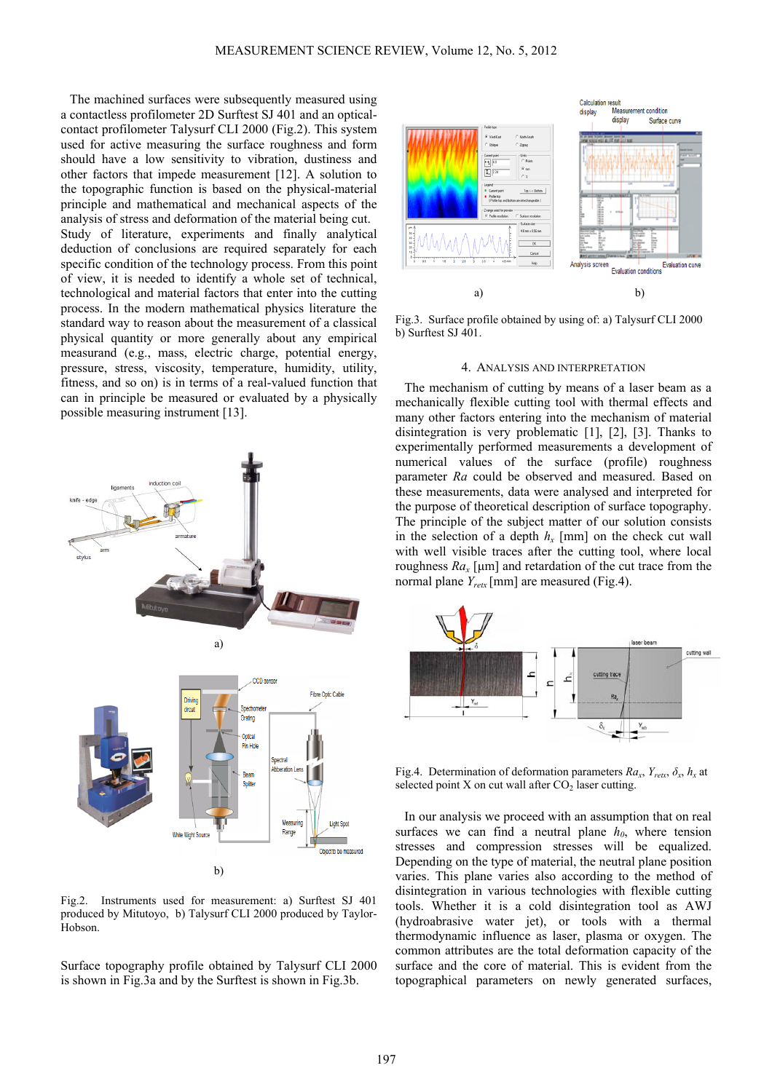The machined surfaces were subsequently measured using a contactless profilometer 2D Surftest SJ 401 and an opticalcontact profilometer Talysurf CLI 2000 (Fig.2). This system used for active measuring the surface roughness and form should have a low sensitivity to vibration, dustiness and other factors that impede measurement [12]. A solution to the topographic function is based on the physical-material principle and mathematical and mechanical aspects of the analysis of stress and deformation of the material being cut. Study of literature, experiments and finally analytical deduction of conclusions are required separately for each specific condition of the technology process. From this point of view, it is needed to identify a whole set of technical, technological and material factors that enter into the cutting process. In the modern mathematical physics literature the standard way to reason about the measurement of a classical physical quantity or more generally about any empirical measurand (e.g., mass, electric charge, potential energy, pressure, stress, viscosity, temperature, humidity, utility, fitness, and so on) is in terms of a real-valued function that can in principle be measured or evaluated by a physically possible measuring instrument [13].



Fig.2. Instruments used for measurement: a) Surftest SJ 401 produced by Mitutoyo, b) Talysurf CLI 2000 produced by Taylor-Hobson.

Surface topography profile obtained by Talysurf CLI 2000 is shown in Fig.3a and by the Surftest is shown in Fig.3b.



Fig.3. Surface profile obtained by using of: a) Talysurf CLI 2000 b) Surftest SJ 401.

#### 4. ANALYSIS AND INTERPRETATION

The mechanism of cutting by means of a laser beam as a mechanically flexible cutting tool with thermal effects and many other factors entering into the mechanism of material disintegration is very problematic [1], [2], [3]. Thanks to experimentally performed measurements a development of numerical values of the surface (profile) roughness parameter *Ra* could be observed and measured. Based on these measurements, data were analysed and interpreted for the purpose of theoretical description of surface topography. The principle of the subject matter of our solution consists in the selection of a depth  $h_x$  [mm] on the check cut wall with well visible traces after the cutting tool, where local roughness  $Ra_x$  [µm] and retardation of the cut trace from the normal plane *Yretx* [mm] are measured (Fig.4).



Fig.4. Determination of deformation parameters  $Ra_x$ ,  $Y_{retx}$ ,  $\delta_x$ ,  $h_x$  at selected point X on cut wall after  $CO<sub>2</sub>$  laser cutting.

In our analysis we proceed with an assumption that on real surfaces we can find a neutral plane  $h_0$ , where tension stresses and compression stresses will be equalized. Depending on the type of material, the neutral plane position varies. This plane varies also according to the method of disintegration in various technologies with flexible cutting tools. Whether it is a cold disintegration tool as AWJ (hydroabrasive water jet), or tools with a thermal thermodynamic influence as laser, plasma or oxygen. The common attributes are the total deformation capacity of the surface and the core of material. This is evident from the topographical parameters on newly generated surfaces,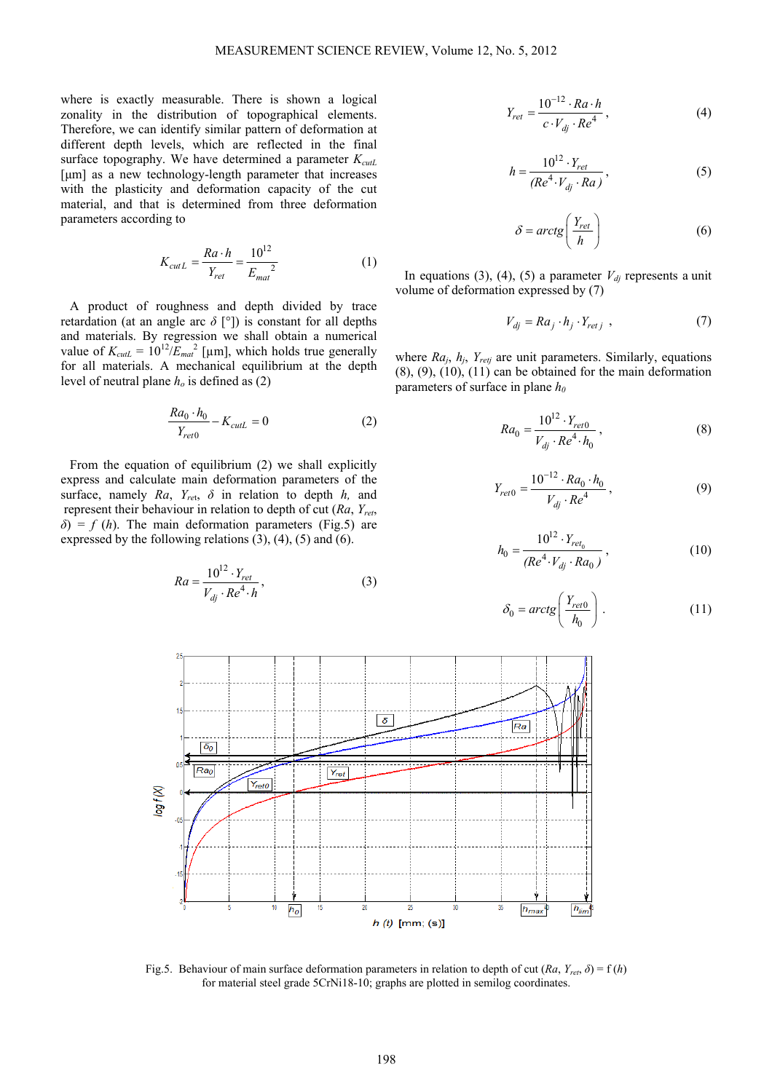where is exactly measurable. There is shown a logical zonality in the distribution of topographical elements. Therefore, we can identify similar pattern of deformation at different depth levels, which are reflected in the final surface topography. We have determined a parameter  $K_{\text{cut}}$ [μm] as a new technology-length parameter that increases with the plasticity and deformation capacity of the cut material, and that is determined from three deformation parameters according to

$$
K_{cutL} = \frac{Ra \cdot h}{Y_{ret}} = \frac{10^{12}}{E_{mat}^2}
$$
 (1)

A product of roughness and depth divided by trace retardation (at an angle arc  $\delta$  [°]) is constant for all depths and materials. By regression we shall obtain a numerical value of  $K_{\text{cut}} = 10^{12} / E_{\text{mat}}^2$  [µm], which holds true generally for all materials. A mechanical equilibrium at the depth level of neutral plane  $h<sub>o</sub>$  is defined as (2)

$$
\frac{Ra_0 \cdot h_0}{Y_{ret0}} - K_{cutL} = 0 \tag{2}
$$

From the equation of equilibrium (2) we shall explicitly express and calculate main deformation parameters of the surface, namely *Ra*, *Yre*t, *δ* in relation to depth *h,* and represent their behaviour in relation to depth of cut (*Ra*, *Yret*,  $\delta$ ) = *f* (*h*). The main deformation parameters (Fig.5) are expressed by the following relations (3), (4), (5) and (6).

$$
Ra = \frac{10^{12} \cdot Y_{ret}}{V_{dj} \cdot Re^{4} \cdot h},
$$
 (3)

$$
Y_{ret} = \frac{10^{-12} \cdot Ra \cdot h}{c \cdot V_{dj} \cdot Re^4} \,,\tag{4}
$$

$$
h = \frac{10^{12} \cdot Y_{ret}}{(Re^4 \cdot V_{dj} \cdot Ra)},
$$
 (5)

$$
\delta = \arctg\left(\frac{Y_{ret}}{h}\right) \tag{6}
$$

In equations (3), (4), (5) a parameter  $V_{di}$  represents a unit volume of deformation expressed by (7)

$$
V_{dj} = Ra_j \cdot h_j \cdot Y_{retj} \tag{7}
$$

where *Ra<sub>j</sub>*, *h<sub>j</sub>*, *Y<sub>retj</sub>* are unit parameters. Similarly, equations  $(8)$ ,  $(9)$ ,  $(10)$ ,  $(11)$  can be obtained for the main deformation parameters of surface in plane  $h_0$ 

$$
Ra_0 = \frac{10^{12} \cdot Y_{ref0}}{V_{dj} \cdot Re^{4} \cdot h_0},
$$
\n(8)

$$
Y_{ret0} = \frac{10^{-12} \cdot Ra_0 \cdot h_0}{V_{dj} \cdot Re^4} , \qquad (9)
$$

$$
h_0 = \frac{10^{12} \cdot Y_{ret_0}}{(Re^4 \cdot V_{dj} \cdot Ra_0)},
$$
\n(10)

$$
\delta_0 = \arctg\left(\frac{Y_{ret0}}{h_0}\right). \tag{11}
$$



Fig.5. Behaviour of main surface deformation parameters in relation to depth of cut  $(Ra, Y_{ret}, \delta) = f(h)$ for material steel grade 5CrNi18-10; graphs are plotted in semilog coordinates.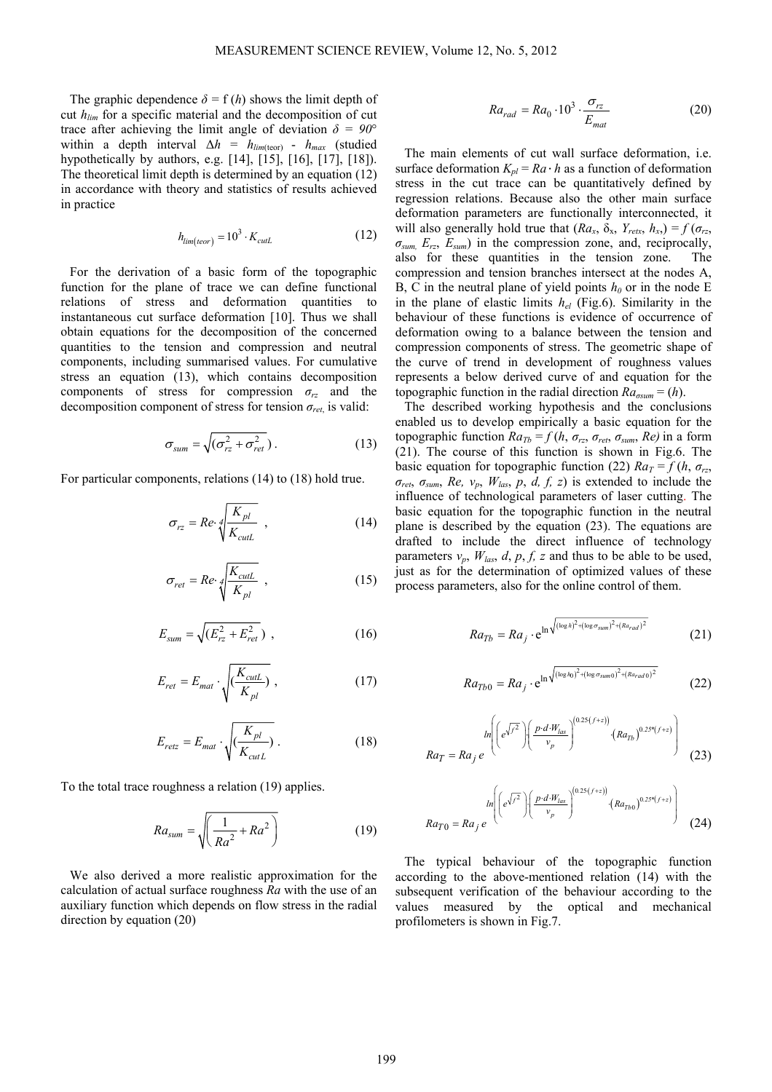The graphic dependence  $\delta = f(h)$  shows the limit depth of cut *hlim* for a specific material and the decomposition of cut trace after achieving the limit angle of deviation  $\delta = 90^\circ$ within a depth interval  $\Delta h = h_{lim(teor)} - h_{max}$  (studied hypothetically by authors, e.g. [14], [15], [16], [17], [18]). The theoretical limit depth is determined by an equation (12) in accordance with theory and statistics of results achieved in practice

$$
h_{\text{lim}(teor)} = 10^3 \cdot K_{\text{cut}} \tag{12}
$$

For the derivation of a basic form of the topographic function for the plane of trace we can define functional relations of stress and deformation quantities to instantaneous cut surface deformation [10]. Thus we shall obtain equations for the decomposition of the concerned quantities to the tension and compression and neutral components, including summarised values. For cumulative stress an equation (13), which contains decomposition components of stress for compression  $\sigma_{rz}$  and the decomposition component of stress for tension  $\sigma_{ret}$  is valid:

$$
\sigma_{sum} = \sqrt{(\sigma_{rz}^2 + \sigma_{ret}^2)}.
$$
 (13)

For particular components, relations (14) to (18) hold true.

$$
\sigma_{rz} = Re \sqrt{\frac{K_{pl}}{K_{\text{cut}}}} \quad , \tag{14}
$$

$$
\sigma_{ret} = Re \sqrt[4]{\frac{K_{cutL}}{K_{pl}}}, \qquad (15)
$$

$$
E_{sum} = \sqrt{(E_{rz}^2 + E_{ret}^2)} \t{,} \t(16)
$$

$$
E_{ret} = E_{mat} \cdot \sqrt{\left(\frac{K_{cutL}}{K_{pl}}\right)} \,, \tag{17}
$$

$$
E_{retz} = E_{mat} \cdot \sqrt{\left(\frac{K_{pl}}{K_{cutL}}\right)} \ . \tag{18}
$$

To the total trace roughness a relation (19) applies.

$$
Ra_{sum} = \sqrt{\left(\frac{1}{Ra^2} + Ra^2\right)}
$$
 (19)

We also derived a more realistic approximation for the calculation of actual surface roughness *Ra* with the use of an auxiliary function which depends on flow stress in the radial direction by equation (20)

$$
Ra_{rad} = Ra_0 \cdot 10^3 \cdot \frac{\sigma_{rz}}{E_{mat}} \tag{20}
$$

The main elements of cut wall surface deformation, i.e. surface deformation  $K_{pl} = Ra \cdot h$  as a function of deformation stress in the cut trace can be quantitatively defined by regression relations. Because also the other main surface deformation parameters are functionally interconnected, it will also generally hold true that  $(Ra_x, \delta_x, Y_{retx}, h_x) = f(\sigma_{rz},$ *σsum, Erz*, *Esum*) in the compression zone, and, reciprocally, also for these quantities in the tension zone. The compression and tension branches intersect at the nodes A, B, C in the neutral plane of yield points  $h_0$  or in the node E in the plane of elastic limits *hel* (Fig.6). Similarity in the behaviour of these functions is evidence of occurrence of deformation owing to a balance between the tension and compression components of stress. The geometric shape of the curve of trend in development of roughness values represents a below derived curve of and equation for the topographic function in the radial direction  $Ra_{\sigma \text{sum}} = (h)$ .

The described working hypothesis and the conclusions enabled us to develop empirically a basic equation for the topographic function  $Ra_{Tb} = f(h, \sigma_{rz}, \sigma_{ret}, \sigma_{sum}, Re)$  in a form (21). The course of this function is shown in Fig.6. The basic equation for topographic function (22)  $Ra_T = f(h, \sigma_{rz}$ , *σret*, *σsum*, *Re, vp*, *Wlas*, *p*, *d, f, z*) is extended to include the influence of technological parameters of laser cutting. The basic equation for the topographic function in the neutral plane is described by the equation (23). The equations are drafted to include the direct influence of technology parameters  $v_p$ ,  $W_{las}$ ,  $d$ ,  $p$ ,  $f$ ,  $z$  and thus to be able to be used, just as for the determination of optimized values of these process parameters, also for the online control of them.

$$
Ra_{Tb} = Ra_j \cdot e^{\ln \sqrt{(\log h)^2 + (\log \sigma_{sum})^2 + (Ra_{rad})^2}}
$$
 (21)

$$
Ra_{Tb0} = Ra_j \cdot e^{\ln \sqrt{(\log h_0)^2 + (\log \sigma_{sum0})^2 + (Ra_{rad0})^2}}
$$
 (22)

$$
Ra_T = Ra_j e^{\ln\left(\left(e^{\sqrt{f^2}}\right)\left(\frac{p \cdot d \cdot W_{las}}{v_p}\right)^{(0.25(f+z))}\cdot\left(Ra_{Tb}\right)^{0.25^*(f+z)}\right)}
$$
(23)

$$
Ra_{T0} = Ra_{j} e^{-ln\left(\left(e^{\sqrt{f^{2}}}\right)\left(\frac{p \cdot d \cdot W_{las}}{v_{p}}\right)^{(0.25\left(f+z)\right)} \cdot (Ra_{Tb0})^{0.25^{*}\left(f+z\right)}\right)}
$$
(24)

The typical behaviour of the topographic function according to the above-mentioned relation (14) with the subsequent verification of the behaviour according to the values measured by the optical and mechanical profilometers is shown in Fig.7.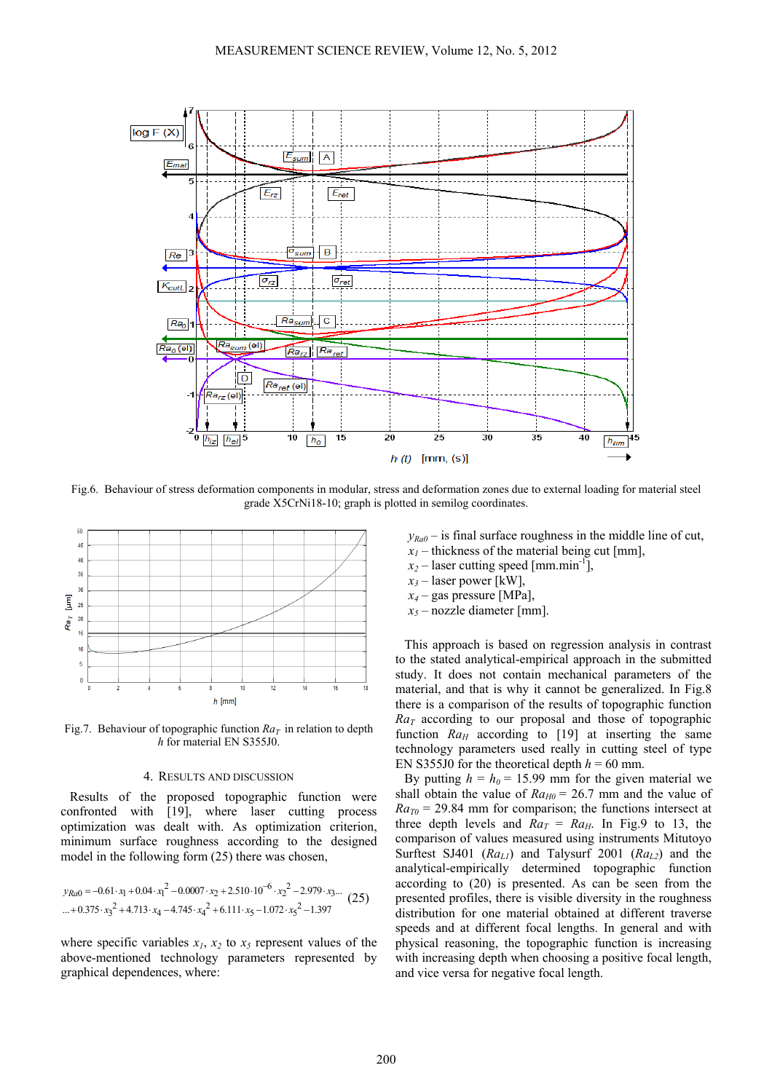

Fig.6. Behaviour of stress deformation components in modular, stress and deformation zones due to external loading for material steel grade  $\hat{X}$ 5CrNi18-10; graph is plotted in semilog coordinates.



Fig.7. Behaviour of topographic function  $Ra_T$  in relation to depth *h* for material EN S355J0.

## 4. RESULTS AND DISCUSSION

Results of the proposed topographic function were confronted with [19], where laser cutting process optimization was dealt with. As optimization criterion, minimum surface roughness according to the designed model in the following form (25) there was chosen,

$$
y_{Ra0} = -0.61 \cdot x_1 + 0.04 \cdot x_1^2 - 0.0007 \cdot x_2 + 2.510 \cdot 10^{-6} \cdot x_2^2 - 2.979 \cdot x_3 \dots (25)
$$
  
...+0.375 \cdot x\_3^2 + 4.713 \cdot x\_4 - 4.745 \cdot x\_4^2 + 6.111 \cdot x\_5 - 1.072 \cdot x\_5^2 - 1.397

where specific variables  $x_1$ ,  $x_2$  to  $x_5$  represent values of the above-mentioned technology parameters represented by graphical dependences, where:

 $y_{Ra0}$  – is final surface roughness in the middle line of cut,

- $x_1$  thickness of the material being cut [mm],
- $x_2$  laser cutting speed [mm.min<sup>-1</sup>],
- $x_3$  laser power [kW],
- *x4* gas pressure [MPa],
- *x5* nozzle diameter [mm].

This approach is based on regression analysis in contrast to the stated analytical-empirical approach in the submitted study. It does not contain mechanical parameters of the material, and that is why it cannot be generalized. In Fig.8 there is a comparison of the results of topographic function  $Ra<sub>T</sub>$  according to our proposal and those of topographic function  $Ra_H$  according to [19] at inserting the same technology parameters used really in cutting steel of type EN S355J0 for the theoretical depth  $h = 60$  mm.

By putting  $h = h_0 = 15.99$  mm for the given material we shall obtain the value of  $Ra_{H0} = 26.7$  mm and the value of  $Ra_{T0}$  = 29.84 mm for comparison; the functions intersect at three depth levels and  $Ra_T = Ra_H$ . In Fig. 9 to 13, the comparison of values measured using instruments Mitutoyo Surftest SJ401 (*Ra<sub>L1</sub>*) and Talysurf 2001 (*Ra<sub>L2</sub>*) and the analytical-empirically determined topographic function according to (20) is presented. As can be seen from the presented profiles, there is visible diversity in the roughness distribution for one material obtained at different traverse speeds and at different focal lengths. In general and with physical reasoning, the topographic function is increasing with increasing depth when choosing a positive focal length, and vice versa for negative focal length.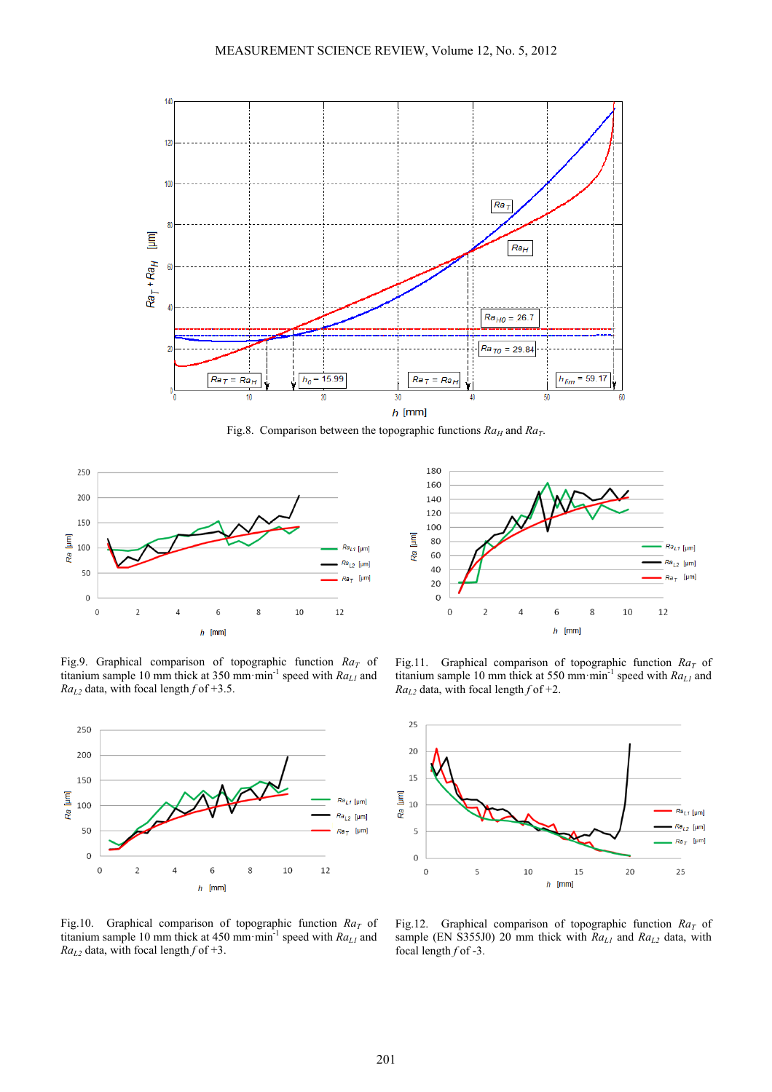

Fig.8. Comparison between the topographic functions  $Ra_H$  and  $Ra_T$ .



Fig.9. Graphical comparison of topographic function  $Ra_T$  of titanium sample 10 mm thick at 350 mm min<sup>-1</sup> speed with  $Ra_{L1}$  and  $Ra_{L2}$  data, with focal length  $f$  of +3.5.





Fig.11. Graphical comparison of topographic function  $Ra_T$  of titanium sample 10 mm thick at 550 mm min<sup>-1</sup> speed with  $Ra_{L1}$  and  $Ra_{L2}$  data, with focal length  $f$  of +2.



Fig.10. Graphical comparison of topographic function  $Ra_T$  of titanium sample 10 mm thick at 450 mm min<sup>-1</sup> speed with *Ra<sub>L1</sub>* and  $Ra_{L2}$  data, with focal length  $f$  of +3.

Fig.12. Graphical comparison of topographic function  $Ra_T$  of sample (EN S355J0) 20 mm thick with  $Ra_{L1}$  and  $Ra_{L2}$  data, with focal length *f* of -3.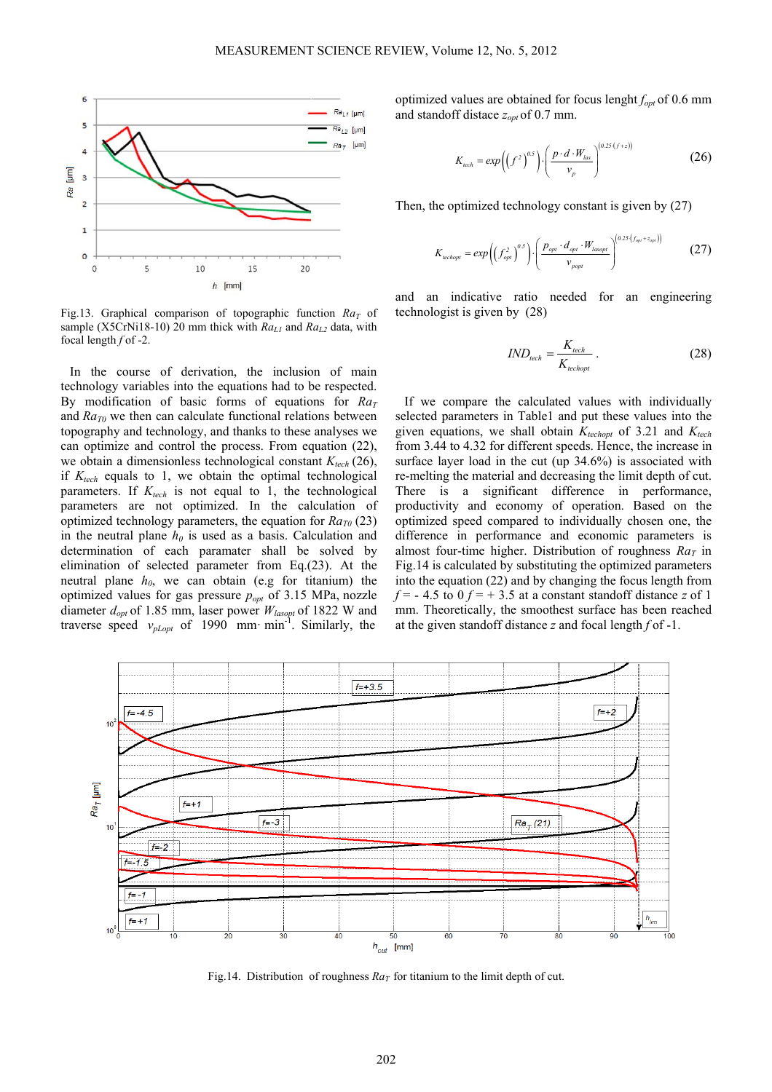

Fig.13. Graphical comparison of topographic function  $Ra_T$  of sample (X5CrNi18-10) 20 mm thick with  $Ra_{L1}$  and  $Ra_{L2}$  data, with focal length *f* of -2.

In the course of derivation, the inclusion of main technology variables into the equations had to be respected. By modification of basic forms of equations for  $Ra_T$ and  $Ra_{T0}$  we then can calculate functional relations between topography and technology, and thanks to these analyses we can optimize and control the process. From equation (22), we obtain a dimensionless technological constant  $K_{tech}$  (26), if  $K_{tech}$  equals to 1, we obtain the optimal technological parameters. If  $K_{tech}$  is not equal to 1, the technological parameters are not optimized. In the calculation of optimized technology parameters, the equation for  $Ra_{T0}(23)$ in the neutral plane  $h_0$  is used as a basis. Calculation and determination of each paramater shall be solved by elimination of selected parameter from Eq.(23). At the neutral plane  $h_0$ , we can obtain (e.g for titanium) the optimized values for gas pressure *popt* of 3.15 MPa, nozzle diameter *dopt* of 1.85 mm, laser power *Wlasopt* of 1822 W and traverse speed  $v_{pLopt}$  of 1990 mm· min<sup>-1</sup>. Similarly, the

optimized values are obtained for focus lenght *fopt* of 0.6 mm and standoff distace  $z_{opt}$  of 0.7 mm.

$$
K_{\text{tech}} = \exp\left(\left(f^2\right)^{0.5}\right) \cdot \left(\frac{p \cdot d \cdot W_{\text{las}}}{v_p}\right)^{(0.25\cdot (f+z))} \tag{26}
$$

Then, the optimized technology constant is given by (27)

$$
K_{\text{rechopt}} = \exp\left(\left(f_{\text{opt}}^2\right)^{0.5}\right) \cdot \left(\frac{p_{\text{opt}} \cdot d_{\text{opt}} \cdot W_{\text{lassopt}}}{v_{\text{popt}}}\right)^{\left(0.25 \cdot (f_{\text{opt}} + z_{\text{app}})\right)}\tag{27}
$$

and an indicative ratio needed for an engineering technologist is given by (28)

$$
IND_{\text{lech}} = \frac{K_{\text{tech}}}{K_{\text{rechopt}}}
$$
 (28)

If we compare the calculated values with individually selected parameters in Table1 and put these values into the given equations, we shall obtain  $K_{techopt}$  of 3.21 and  $K_{tech}$ from 3.44 to 4.32 for different speeds. Hence, the increase in surface layer load in the cut (up 34.6%) is associated with re-melting the material and decreasing the limit depth of cut. There is a significant difference in performance, productivity and economy of operation. Based on the optimized speed compared to individually chosen one, the difference in performance and economic parameters is almost four-time higher. Distribution of roughness  $Ra_T$  in Fig.14 is calculated by substituting the optimized parameters into the equation (22) and by changing the focus length from  $f = -4.5$  to  $0 f = +3.5$  at a constant standoff distance *z* of 1 mm. Theoretically, the smoothest surface has been reached at the given standoff distance *z* and focal length *f* of -1.



Fig.14. Distribution of roughness  $Ra_T$  for titanium to the limit depth of cut.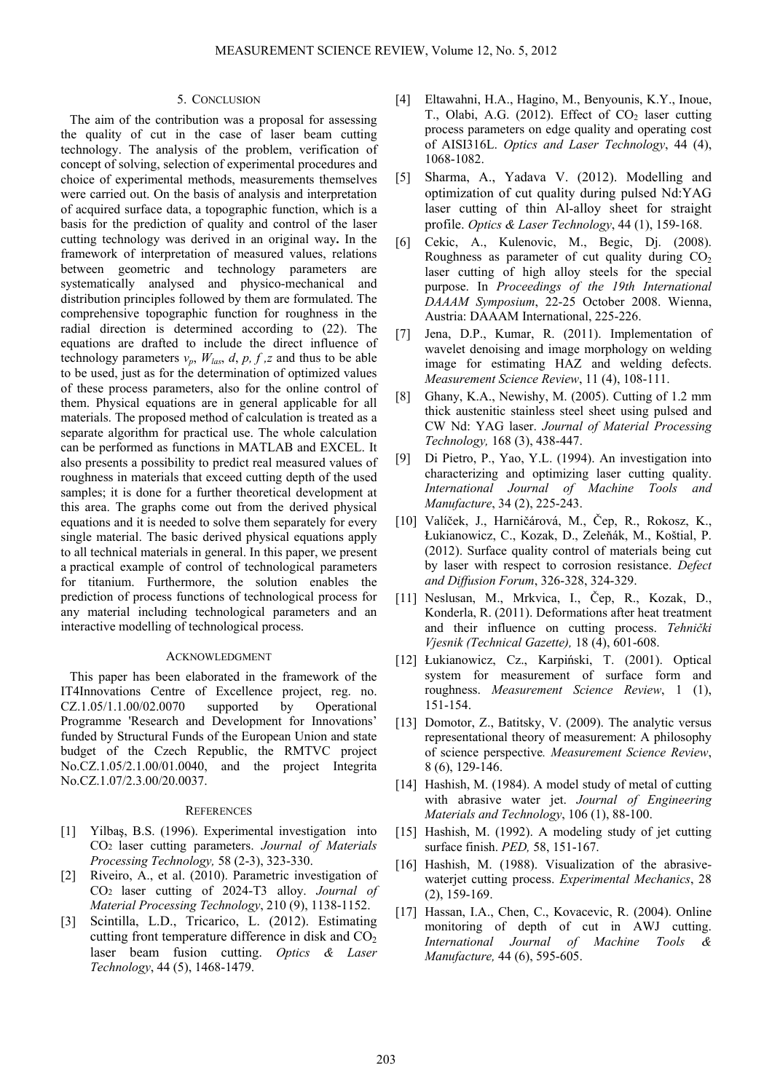### 5. CONCLUSION

The aim of the contribution was a proposal for assessing the quality of cut in the case of laser beam cutting technology. The analysis of the problem, verification of concept of solving, selection of experimental procedures and choice of experimental methods, measurements themselves were carried out. On the basis of analysis and interpretation of acquired surface data, a topographic function, which is a basis for the prediction of quality and control of the laser cutting technology was derived in an original way**.** In the framework of interpretation of measured values, relations between geometric and technology parameters are systematically analysed and physico-mechanical and distribution principles followed by them are formulated. The comprehensive topographic function for roughness in the radial direction is determined according to (22). The equations are drafted to include the direct influence of technology parameters  $v_p$ ,  $W_{las}$ ,  $d$ ,  $p$ ,  $f$ ,  $z$  and thus to be able to be used, just as for the determination of optimized values of these process parameters, also for the online control of them. Physical equations are in general applicable for all materials. The proposed method of calculation is treated as a separate algorithm for practical use. The whole calculation can be performed as functions in MATLAB and EXCEL. It also presents a possibility to predict real measured values of roughness in materials that exceed cutting depth of the used samples; it is done for a further theoretical development at this area. The graphs come out from the derived physical equations and it is needed to solve them separately for every single material. The basic derived physical equations apply to all technical materials in general. In this paper, we present a practical example of control of technological parameters for titanium. Furthermore, the solution enables the prediction of process functions of technological process for any material including technological parameters and an interactive modelling of technological process.

#### ACKNOWLEDGMENT

This paper has been elaborated in the framework of the IT4Innovations Centre of Excellence project, reg. no.  $CZ.1.05/1.1.00/02.0070$  supported by Operational Programme 'Research and Development for Innovations' funded by Structural Funds of the European Union and state budget of the Czech Republic, the RMTVC project No.CZ.1.05/2.1.00/01.0040, and the project Integrita No.CZ.1.07/2.3.00/20.0037.

#### **REFERENCES**

- [1] Yilbaş, B.S. (1996). Experimental investigation into CO2 laser cutting parameters. *Journal of Materials Processing Technology,* 58 (2-3), 323-330.
- [2] Riveiro, A., et al. (2010). Parametric investigation of CO2 laser cutting of 2024-T3 alloy. *Journal of Material Processing Technology*, 210 (9), 1138-1152.
- [3] Scintilla, L.D., Tricarico, L. (2012). Estimating cutting front temperature difference in disk and  $CO<sub>2</sub>$ laser beam fusion cutting. *Optics & Laser Technology*, 44 (5), 1468-1479.
- [4] Eltawahni, H.A., Hagino, M., Benyounis, K.Y., Inoue, T., Olabi, A.G. (2012). Effect of  $CO<sub>2</sub>$  laser cutting process parameters on edge quality and operating cost of AISI316L. *Optics and Laser Technology*, 44 (4), 1068-1082.
- [5] Sharma, A., Yadava V. (2012). Modelling and optimization of cut quality during pulsed Nd:YAG laser cutting of thin Al-alloy sheet for straight profile. *Optics & Laser Technology*, 44 (1), 159-168.
- [6] Cekic, A., Kulenovic, M., Begic, Dj. (2008). Roughness as parameter of cut quality during  $CO<sub>2</sub>$ laser cutting of high alloy steels for the special purpose. In *Proceedings of the 19th International DAAAM Symposium*, 22-25 October 2008. Wienna, Austria: DAAAM International, 225-226.
- [7] Jena, D.P., Kumar, R. (2011). Implementation of wavelet denoising and image morphology on welding image for estimating HAZ and welding defects. *Measurement Science Review*, 11 (4), 108-111.
- [8] Ghany, K.A., Newishy, M. (2005). Cutting of 1.2 mm thick austenitic stainless steel sheet using pulsed and CW Nd: YAG laser. *Journal of Material Processing Technology,* 168 (3), 438-447.
- [9] Di Pietro, P., Yao, Y.L. (1994). An investigation into characterizing and optimizing laser cutting quality. *International Journal of Machine Tools and Manufacture*, 34 (2), 225-243.
- [10] Valíček, J., Harničárová, M., Čep, R., Rokosz, K., Łukianowicz, C., Kozak, D., Zeleňák, M., Koštial, P. (2012). Surface quality control of materials being cut by laser with respect to corrosion resistance. *Defect and Diffusion Forum*, 326-328, 324-329.
- [11] Neslusan, M., Mrkvica, I., Čep, R., Kozak, D., Konderla, R. (2011). Deformations after heat treatment and their influence on cutting process. *Tehnički Vjesnik (Technical Gazette),* 18 (4), 601-608.
- [12] Łukianowicz, Cz., Karpiński, T. (2001). Optical system for measurement of surface form and roughness. *Measurement Science Review*, 1 (1), 151-154.
- [13] Domotor, Z., Batitsky, V. (2009). The analytic versus representational theory of measurement: A philosophy of science perspective*. Measurement Science Review*, 8 (6), 129-146.
- [14] Hashish, M. (1984). A model study of metal of cutting with abrasive water jet. *Journal of Engineering Materials and Technology*, 106 (1), 88-100.
- [15] Hashish, M. (1992). A modeling study of jet cutting surface finish. *PED,* 58, 151-167.
- [16] Hashish, M. (1988). Visualization of the abrasivewaterjet cutting process. *Experimental Mechanics*, 28 (2), 159-169.
- [17] Hassan, I.A., Chen, C., Kovacevic, R. (2004). Online monitoring of depth of cut in AWJ cutting. *International Journal of Machine Tools & Manufacture,* 44 (6), 595-605.